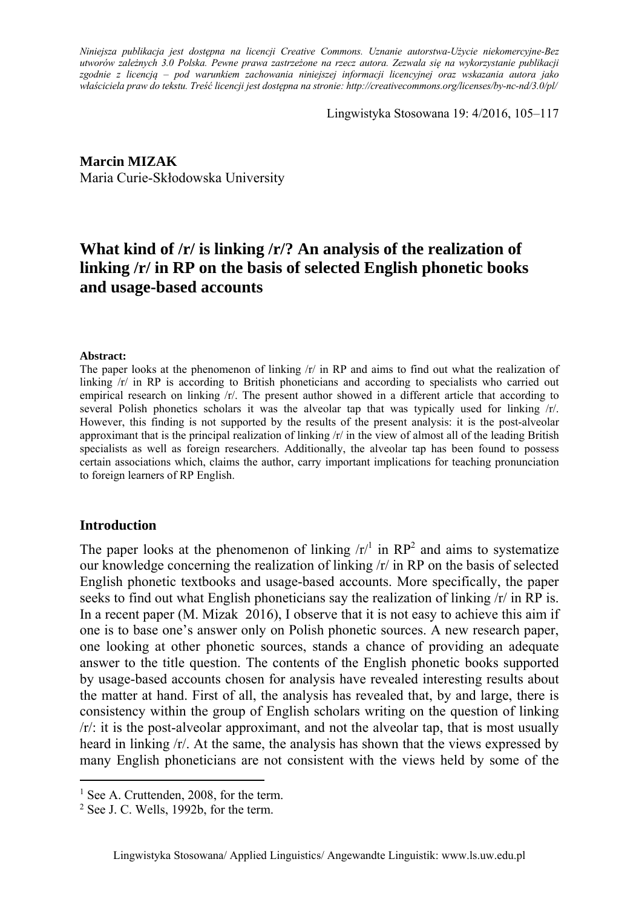*Niniejsza publikacja jest dostępna na licencji Creative Commons. Uznanie autorstwa-Użycie niekomercyjne-Bez utworów zależnych 3.0 Polska. Pewne prawa zastrzeżone na rzecz autora. Zezwala się na wykorzystanie publikacji zgodnie z licencją – pod warunkiem zachowania niniejszej informacji licencyjnej oraz wskazania autora jako właściciela praw do tekstu. Treść licencji jest dostępna na stronie: http://creativecommons.org/licenses/by-nc-nd/3.0/pl/*

Lingwistyka Stosowana 19: 4/2016, 105–117

**Marcin MIZAK**  Maria Curie-Skłodowska University

# **What kind of /r/ is linking /r/? An analysis of the realization of linking /r/ in RP on the basis of selected English phonetic books and usage-based accounts**

#### **Abstract:**

The paper looks at the phenomenon of linking  $/r/$  in RP and aims to find out what the realization of linking /r/ in RP is according to British phoneticians and according to specialists who carried out empirical research on linking /r/. The present author showed in a different article that according to several Polish phonetics scholars it was the alveolar tap that was typically used for linking /r/. However, this finding is not supported by the results of the present analysis: it is the post-alveolar approximant that is the principal realization of linking /r/ in the view of almost all of the leading British specialists as well as foreign researchers. Additionally, the alveolar tap has been found to possess certain associations which, claims the author, carry important implications for teaching pronunciation to foreign learners of RP English.

#### **Introduction**

 $\overline{a}$ 

The paper looks at the phenomenon of linking  $\langle r \rangle^1$  in RP<sup>2</sup> and aims to systematize our knowledge concerning the realization of linking /r/ in RP on the basis of selected English phonetic textbooks and usage-based accounts. More specifically, the paper seeks to find out what English phoneticians say the realization of linking /r/ in RP is. In a recent paper (M. Mizak 2016), I observe that it is not easy to achieve this aim if one is to base one's answer only on Polish phonetic sources. A new research paper, one looking at other phonetic sources, stands a chance of providing an adequate answer to the title question. The contents of the English phonetic books supported by usage-based accounts chosen for analysis have revealed interesting results about the matter at hand. First of all, the analysis has revealed that, by and large, there is consistency within the group of English scholars writing on the question of linking  $\sqrt{r}$ : it is the post-alveolar approximant, and not the alveolar tap, that is most usually heard in linking  $/r/$ . At the same, the analysis has shown that the views expressed by many English phoneticians are not consistent with the views held by some of the

<sup>&</sup>lt;sup>1</sup> See A. Cruttenden, 2008, for the term.

<sup>2</sup> See J. C. Wells, 1992b, for the term.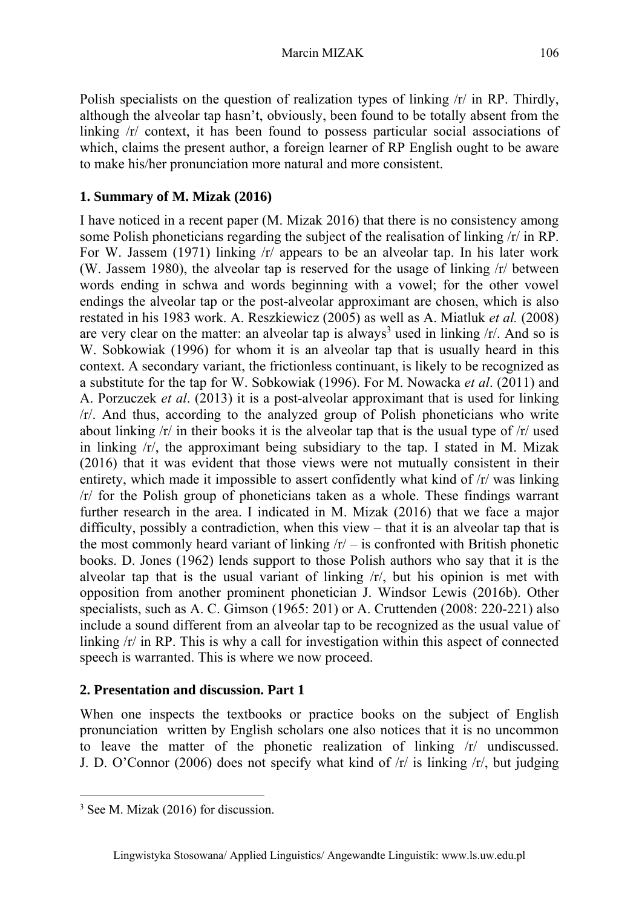Polish specialists on the question of realization types of linking  $/r/$  in RP. Thirdly, although the alveolar tap hasn't, obviously, been found to be totally absent from the linking /r/ context, it has been found to possess particular social associations of which, claims the present author, a foreign learner of RP English ought to be aware to make his/her pronunciation more natural and more consistent.

## **1. Summary of M. Mizak (2016)**

I have noticed in a recent paper (M. Mizak 2016) that there is no consistency among some Polish phoneticians regarding the subject of the realisation of linking /r/ in RP. For W. Jassem (1971) linking  $/r/$  appears to be an alveolar tap. In his later work (W. Jassem 1980), the alveolar tap is reserved for the usage of linking /r/ between words ending in schwa and words beginning with a vowel; for the other vowel endings the alveolar tap or the post-alveolar approximant are chosen, which is also restated in his 1983 work. A. Reszkiewicz (2005) as well as A. Miatluk *et al.* (2008) are very clear on the matter: an alveolar tap is always<sup>3</sup> used in linking  $/r/$ . And so is W. Sobkowiak (1996) for whom it is an alveolar tap that is usually heard in this context. A secondary variant, the frictionless continuant, is likely to be recognized as a substitute for the tap for W. Sobkowiak (1996). For M. Nowacka *et al*. (2011) and A. Porzuczek *et al*. (2013) it is a post-alveolar approximant that is used for linking /r/. And thus, according to the analyzed group of Polish phoneticians who write about linking  $\pi$  in their books it is the alveolar tap that is the usual type of  $\pi$  used in linking /r/, the approximant being subsidiary to the tap. I stated in M. Mizak (2016) that it was evident that those views were not mutually consistent in their entirety, which made it impossible to assert confidently what kind of /r/ was linking /r/ for the Polish group of phoneticians taken as a whole. These findings warrant further research in the area. I indicated in M. Mizak (2016) that we face a major difficulty, possibly a contradiction, when this view – that it is an alveolar tap that is the most commonly heard variant of linking  $/r/ -$  is confronted with British phonetic books. D. Jones (1962) lends support to those Polish authors who say that it is the alveolar tap that is the usual variant of linking  $\langle r \rangle$ , but his opinion is met with opposition from another prominent phonetician J. Windsor Lewis (2016b). Other specialists, such as A. C. Gimson (1965: 201) or A. Cruttenden (2008: 220-221) also include a sound different from an alveolar tap to be recognized as the usual value of linking  $\pi$  in RP. This is why a call for investigation within this aspect of connected speech is warranted. This is where we now proceed.

### **2. Presentation and discussion. Part 1**

When one inspects the textbooks or practice books on the subject of English pronunciation written by English scholars one also notices that it is no uncommon to leave the matter of the phonetic realization of linking /r/ undiscussed. J. D. O'Connor (2006) does not specify what kind of /r/ is linking /r/, but judging

<sup>3</sup> See M. Mizak (2016) for discussion.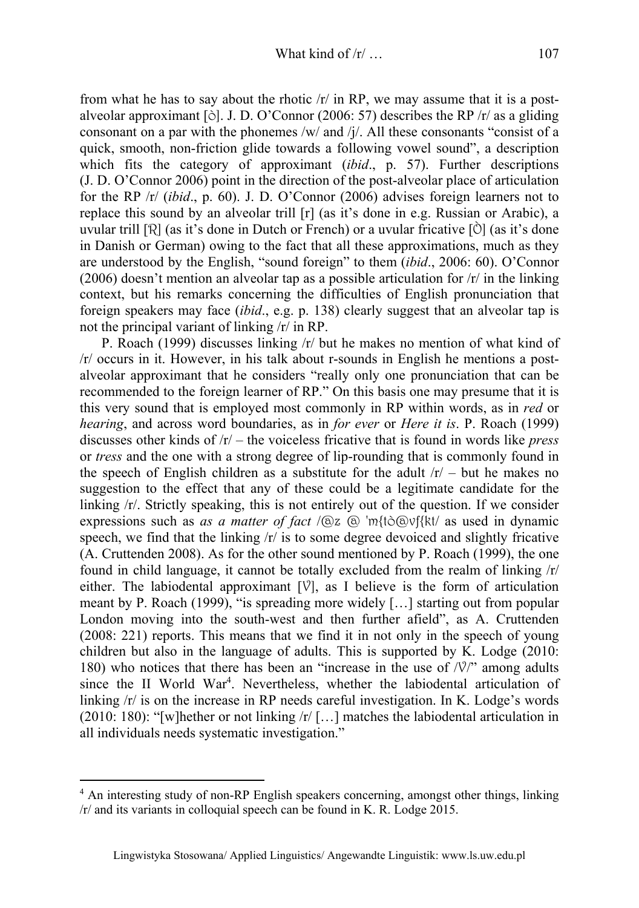from what he has to say about the rhotic  $/r/$  in RP, we may assume that it is a postalveolar approximant [ $\delta$ ]. J. D. O'Connor (2006: 57) describes the RP /r/ as a gliding consonant on a par with the phonemes /w/ and /j/. All these consonants "consist of a quick, smooth, non-friction glide towards a following vowel sound", a description which fits the category of approximant (*ibid*., p. 57). Further descriptions (J. D. O'Connor 2006) point in the direction of the post-alveolar place of articulation for the RP /r/ (*ibid*., p. 60). J. D. O'Connor (2006) advises foreign learners not to replace this sound by an alveolar trill [r] (as it's done in e.g. Russian or Arabic), a uvular trill  $[\hat{\mathcal{R}}]$  (as it's done in Dutch or French) or a uvular fricative  $[\hat{\mathcal{O}}]$  (as it's done in Danish or German) owing to the fact that all these approximations, much as they are understood by the English, "sound foreign" to them (*ibid*., 2006: 60). O'Connor (2006) doesn't mention an alveolar tap as a possible articulation for  $/r/$  in the linking context, but his remarks concerning the difficulties of English pronunciation that foreign speakers may face (*ibid*., e.g. p. 138) clearly suggest that an alveolar tap is not the principal variant of linking /r/ in RP.

P. Roach (1999) discusses linking /r/ but he makes no mention of what kind of /r/ occurs in it. However, in his talk about r-sounds in English he mentions a postalveolar approximant that he considers "really only one pronunciation that can be recommended to the foreign learner of RP." On this basis one may presume that it is this very sound that is employed most commonly in RP within words, as in *red* or *hearing*, and across word boundaries, as in *for ever* or *Here it is*. P. Roach (1999) discusses other kinds of /r/ – the voiceless fricative that is found in words like *press* or *tress* and the one with a strong degree of lip-rounding that is commonly found in the speech of English children as a substitute for the adult  $/r/ -$  but he makes no suggestion to the effect that any of these could be a legitimate candidate for the linking /r/. Strictly speaking, this is not entirely out of the question. If we consider expressions such as *as a matter of fact* /@z @ 'm{tò@vf{kt/ as used in dynamic speech, we find that the linking /r/ is to some degree devoiced and slightly fricative (A. Cruttenden 2008). As for the other sound mentioned by P. Roach (1999), the one found in child language, it cannot be totally excluded from the realm of linking /r/ either. The labiodental approximant  $[\nabla]$ , as I believe is the form of articulation meant by P. Roach (1999), "is spreading more widely […] starting out from popular London moving into the south-west and then further afield", as A. Cruttenden (2008: 221) reports. This means that we find it in not only in the speech of young children but also in the language of adults. This is supported by K. Lodge (2010: 180) who notices that there has been an "increase in the use of  $\sqrt{\frac{1}{\gamma}}$ " among adults since the II World War<sup>4</sup>. Nevertheless, whether the labiodental articulation of linking /r/ is on the increase in RP needs careful investigation. In K. Lodge's words (2010: 180): "[w]hether or not linking  $/r/$  [...] matches the labiodental articulation in all individuals needs systematic investigation."

<sup>&</sup>lt;sup>4</sup> An interesting study of non-RP English speakers concerning, amongst other things, linking /r/ and its variants in colloquial speech can be found in K. R. Lodge 2015.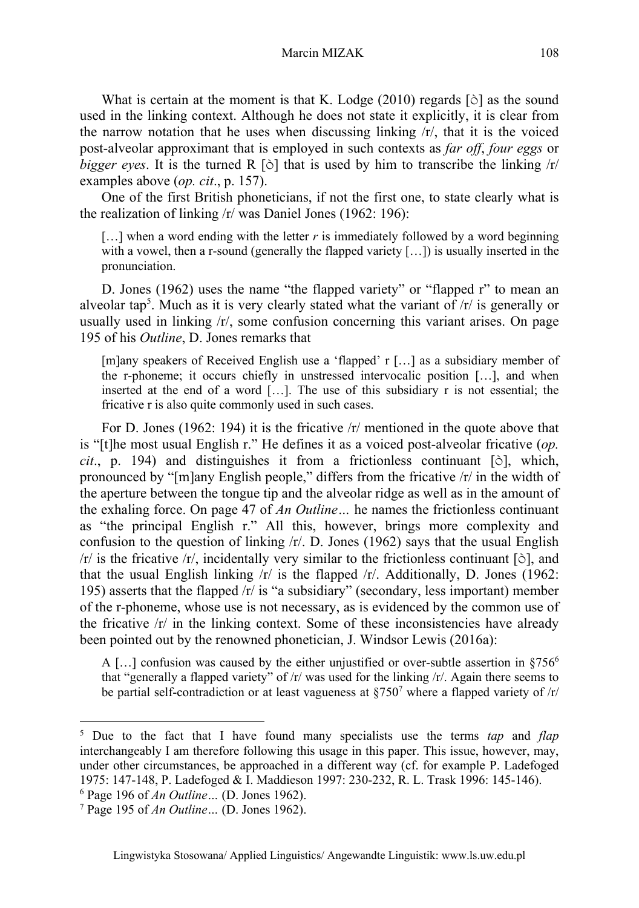Marcin MIZAK 108

What is certain at the moment is that K. Lodge (2010) regards [ $\delta$ ] as the sound used in the linking context. Although he does not state it explicitly, it is clear from the narrow notation that he uses when discussing linking  $\frac{r}{r}$ , that it is the voiced post-alveolar approximant that is employed in such contexts as *far off*, *four eggs* or *bigger eyes*. It is the turned R  $[\delta]$  that is used by him to transcribe the linking  $\pi$ examples above (*op. cit*., p. 157).

One of the first British phoneticians, if not the first one, to state clearly what is the realization of linking /r/ was Daniel Jones (1962: 196):

 $[\dots]$  when a word ending with the letter *r* is immediately followed by a word beginning with a vowel, then a r-sound (generally the flapped variety  $[...]$ ) is usually inserted in the pronunciation.

D. Jones (1962) uses the name "the flapped variety" or "flapped r" to mean an alveolar tap<sup>5</sup>. Much as it is very clearly stated what the variant of  $/r/$  is generally or usually used in linking  $/r/$ , some confusion concerning this variant arises. On page 195 of his *Outline*, D. Jones remarks that

[m]any speakers of Received English use a 'flapped' r […] as a subsidiary member of the r-phoneme; it occurs chiefly in unstressed intervocalic position […], and when inserted at the end of a word […]. The use of this subsidiary r is not essential; the fricative r is also quite commonly used in such cases.

For D. Jones (1962: 194) it is the fricative /r/ mentioned in the quote above that is "[t]he most usual English r." He defines it as a voiced post-alveolar fricative (*op. cit*., p. 194) and distinguishes it from a frictionless continuant [ò], which, pronounced by "[m]any English people," differs from the fricative /r/ in the width of the aperture between the tongue tip and the alveolar ridge as well as in the amount of the exhaling force. On page 47 of *An Outline…* he names the frictionless continuant as "the principal English r." All this, however, brings more complexity and confusion to the question of linking /r/. D. Jones (1962) says that the usual English  $/r/$  is the fricative  $/r/$ , incidentally very similar to the frictionless continuant [ $\delta$ ], and that the usual English linking  $/r/$  is the flapped  $/r/$ . Additionally, D. Jones (1962: 195) asserts that the flapped /r/ is "a subsidiary" (secondary, less important) member of the r-phoneme, whose use is not necessary, as is evidenced by the common use of the fricative  $/r/$  in the linking context. Some of these inconsistencies have already been pointed out by the renowned phonetician, J. Windsor Lewis (2016a):

A [...] confusion was caused by the either unjustified or over-subtle assertion in  $§756^6$ that "generally a flapped variety" of /r/ was used for the linking /r/. Again there seems to be partial self-contradiction or at least vagueness at  $\S750^7$  where a flapped variety of  $\pi$ 

<sup>5</sup> Due to the fact that I have found many specialists use the terms *tap* and *flap* interchangeably I am therefore following this usage in this paper. This issue, however, may, under other circumstances, be approached in a different way (cf. for example P. Ladefoged 1975: 147-148, P. Ladefoged & I. Maddieson 1997: 230-232, R. L. Trask 1996: 145-146).

<sup>6</sup> Page 196 of *An Outline…* (D. Jones 1962). 7

Page 195 of *An Outline…* (D. Jones 1962).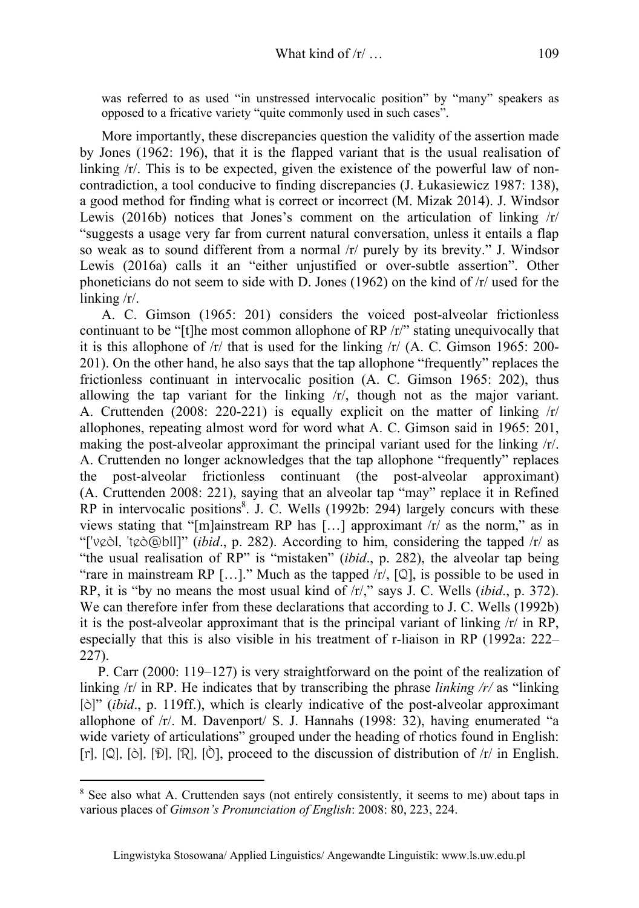was referred to as used "in unstressed intervocalic position" by "many" speakers as opposed to a fricative variety "quite commonly used in such cases".

More importantly, these discrepancies question the validity of the assertion made by Jones (1962: 196), that it is the flapped variant that is the usual realisation of linking  $\pi$ . This is to be expected, given the existence of the powerful law of noncontradiction, a tool conducive to finding discrepancies (J. Łukasiewicz 1987: 138), a good method for finding what is correct or incorrect (M. Mizak 2014). J. Windsor Lewis (2016b) notices that Jones's comment on the articulation of linking  $/r/$ "suggests a usage very far from current natural conversation, unless it entails a flap so weak as to sound different from a normal /r/ purely by its brevity." J. Windsor Lewis (2016a) calls it an "either unjustified or over-subtle assertion". Other phoneticians do not seem to side with D. Jones (1962) on the kind of /r/ used for the linking /r/.

A. C. Gimson (1965: 201) considers the voiced post-alveolar frictionless continuant to be "[t]he most common allophone of  $RP / r$ " stating unequivocally that it is this allophone of  $\frac{r}{r}$  that is used for the linking  $\frac{r}{r}$  (A. C. Gimson 1965: 200-201). On the other hand, he also says that the tap allophone "frequently" replaces the frictionless continuant in intervocalic position (A. C. Gimson 1965: 202), thus allowing the tap variant for the linking /r/, though not as the major variant. A. Cruttenden (2008: 220-221) is equally explicit on the matter of linking /r/ allophones, repeating almost word for word what A. C. Gimson said in 1965: 201, making the post-alveolar approximant the principal variant used for the linking /r/. A. Cruttenden no longer acknowledges that the tap allophone "frequently" replaces the post-alveolar frictionless continuant (the post-alveolar approximant) (A. Cruttenden 2008: 221), saying that an alveolar tap "may" replace it in Refined RP in intervocalic positions<sup>8</sup>. J. C. Wells (1992b: 294) largely concurs with these views stating that "[m]ainstream RP has […] approximant /r/ as the norm," as in "['veòI, 'teò@blI]" (*ibid*., p. 282). According to him, considering the tapped /r/ as "the usual realisation of RP" is "mistaken" (*ibid*., p. 282), the alveolar tap being "rare in mainstream RP [...]." Much as the tapped  $/r/$ , [Q], is possible to be used in RP, it is "by no means the most usual kind of /r/," says J. C. Wells (*ibid*., p. 372). We can therefore infer from these declarations that according to J. C. Wells (1992b) it is the post-alveolar approximant that is the principal variant of linking  $/r/$  in RP, especially that this is also visible in his treatment of r-liaison in RP (1992a: 222– 227).

P. Carr (2000: 119–127) is very straightforward on the point of the realization of linking /r/ in RP. He indicates that by transcribing the phrase *linking /r/* as "linking [ò]" (*ibid*., p. 119ff.), which is clearly indicative of the post-alveolar approximant allophone of /r/. M. Davenport/ S. J. Hannahs (1998: 32), having enumerated "a wide variety of articulations" grouped under the heading of rhotics found in English: [r], [Q], [ $\delta$ ], [ $\mathcal{D}$ ], [R], [ $\delta$ ], proceed to the discussion of distribution of /r/ in English.

<sup>&</sup>lt;sup>8</sup> See also what A. Cruttenden says (not entirely consistently, it seems to me) about taps in various places of *Gimson's Pronunciation of English*: 2008: 80, 223, 224.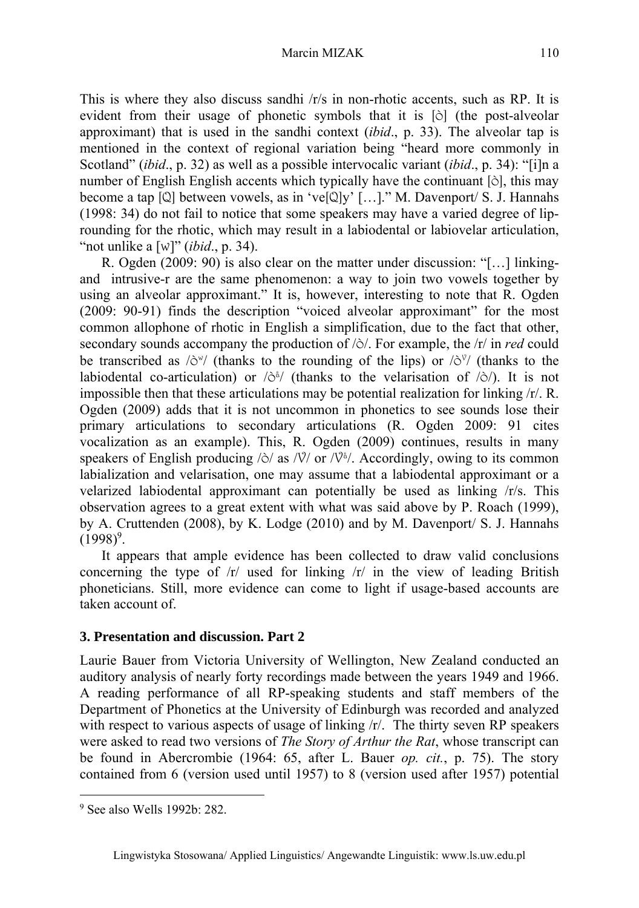This is where they also discuss sandhi /r/s in non-rhotic accents, such as RP. It is evident from their usage of phonetic symbols that it is [ò] (the post-alveolar approximant) that is used in the sandhi context (*ibid*., p. 33). The alveolar tap is mentioned in the context of regional variation being "heard more commonly in Scotland" (*ibid*., p. 32) as well as a possible intervocalic variant (*ibid*., p. 34): "[i]n a number of English English accents which typically have the continuant [ò], this may become a tap [Q] between vowels, as in 've[Q]y' […]." M. Davenport/ S. J. Hannahs (1998: 34) do not fail to notice that some speakers may have a varied degree of liprounding for the rhotic, which may result in a labiodental or labiovelar articulation, "not unlike a [w]" (*ibid*., p. 34).

R. Ogden (2009: 90) is also clear on the matter under discussion: "[…] linkingand intrusive-r are the same phenomenon: a way to join two vowels together by using an alveolar approximant." It is, however, interesting to note that R. Ogden (2009: 90-91) finds the description "voiced alveolar approximant" for the most common allophone of rhotic in English a simplification, due to the fact that other, secondary sounds accompany the production of /ò/. For example, the /r/ in *red* could be transcribed as  $\langle \delta^w \rangle$  (thanks to the rounding of the lips) or  $\langle \delta^v \rangle$  (thanks to the labiodental co-articulation) or  $\langle \hat{\sigma}^{\hat{\theta}} \rangle$  (thanks to the velarisation of  $\langle \hat{\sigma} \rangle$ ). It is not impossible then that these articulations may be potential realization for linking  $/r/$ . R. Ogden (2009) adds that it is not uncommon in phonetics to see sounds lose their primary articulations to secondary articulations (R. Ogden 2009: 91 cites vocalization as an example). This, R. Ogden (2009) continues, results in many speakers of English producing  $\delta /$  as  $\delta / \sqrt{v}$  or  $\delta / \sqrt{v}$ . Accordingly, owing to its common labialization and velarisation, one may assume that a labiodental approximant or a velarized labiodental approximant can potentially be used as linking /r/s. This observation agrees to a great extent with what was said above by P. Roach (1999), by A. Cruttenden (2008), by K. Lodge (2010) and by M. Davenport/ S. J. Hannahs  $(1998)^9$ .

It appears that ample evidence has been collected to draw valid conclusions concerning the type of  $/r/$  used for linking  $/r/$  in the view of leading British phoneticians. Still, more evidence can come to light if usage-based accounts are taken account of.

### **3. Presentation and discussion. Part 2**

Laurie Bauer from Victoria University of Wellington, New Zealand conducted an auditory analysis of nearly forty recordings made between the years 1949 and 1966. A reading performance of all RP-speaking students and staff members of the Department of Phonetics at the University of Edinburgh was recorded and analyzed with respect to various aspects of usage of linking  $/r$ . The thirty seven RP speakers were asked to read two versions of *The Story of Arthur the Rat*, whose transcript can be found in Abercrombie (1964: 65, after L. Bauer *op. cit.*, p. 75). The story contained from 6 (version used until 1957) to 8 (version used after 1957) potential

<sup>9</sup> See also Wells 1992b: 282.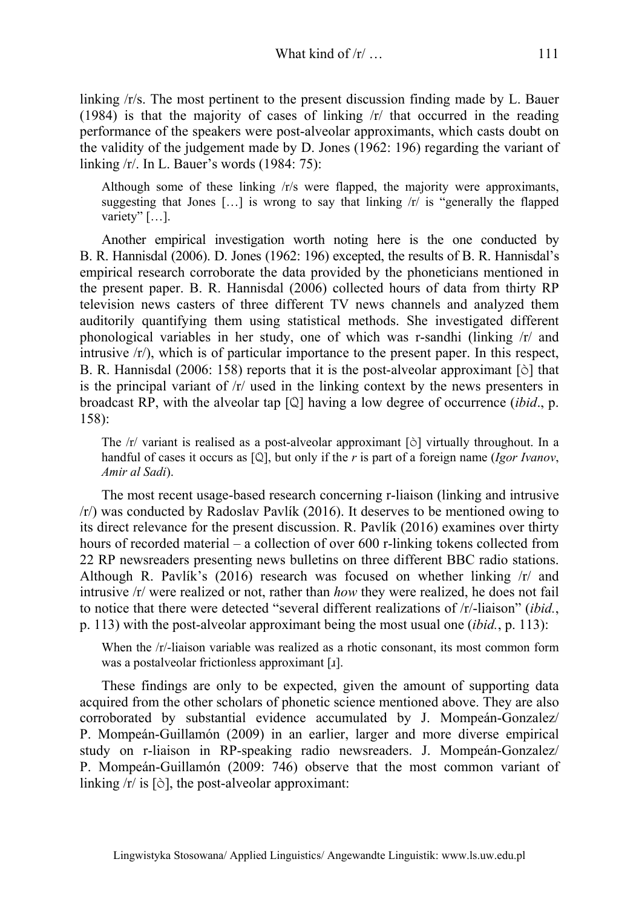linking /r/s. The most pertinent to the present discussion finding made by L. Bauer (1984) is that the majority of cases of linking /r/ that occurred in the reading performance of the speakers were post-alveolar approximants, which casts doubt on the validity of the judgement made by D. Jones (1962: 196) regarding the variant of linking /r/. In L. Bauer's words (1984: 75):

Although some of these linking /r/s were flapped, the majority were approximants, suggesting that Jones  $[\dots]$  is wrong to say that linking  $\pi$  is "generally the flapped" variety" [...].

Another empirical investigation worth noting here is the one conducted by B. R. Hannisdal (2006). D. Jones (1962: 196) excepted, the results of B. R. Hannisdal's empirical research corroborate the data provided by the phoneticians mentioned in the present paper. B. R. Hannisdal (2006) collected hours of data from thirty RP television news casters of three different TV news channels and analyzed them auditorily quantifying them using statistical methods. She investigated different phonological variables in her study, one of which was r-sandhi (linking /r/ and intrusive  $\langle r \rangle$ , which is of particular importance to the present paper. In this respect, B. R. Hannisdal (2006: 158) reports that it is the post-alveolar approximant [ò] that is the principal variant of  $/r$  used in the linking context by the news presenters in broadcast RP, with the alveolar tap [Q] having a low degree of occurrence (*ibid*., p. 158):

The  $/r$  variant is realised as a post-alveolar approximant  $[\delta]$  virtually throughout. In a handful of cases it occurs as [Q], but only if the *r* is part of a foreign name (*Igor Ivanov*, *Amir al Sadi*).

The most recent usage-based research concerning r-liaison (linking and intrusive /r/) was conducted by Radoslav Pavlík (2016). It deserves to be mentioned owing to its direct relevance for the present discussion. R. Pavlík (2016) examines over thirty hours of recorded material – a collection of over 600 r-linking tokens collected from 22 RP newsreaders presenting news bulletins on three different BBC radio stations. Although R. Pavlík's  $(2016)$  research was focused on whether linking  $\pi$  and intrusive /r/ were realized or not, rather than *how* they were realized, he does not fail to notice that there were detected "several different realizations of /r/-liaison" (*ibid.*, p. 113) with the post-alveolar approximant being the most usual one (*ibid.*, p. 113):

When the /r/-liaison variable was realized as a rhotic consonant, its most common form was a postalveolar frictionless approximant [ɹ].

These findings are only to be expected, given the amount of supporting data acquired from the other scholars of phonetic science mentioned above. They are also corroborated by substantial evidence accumulated by J. Mompeán-Gonzalez/ P. Mompeán-Guillamón (2009) in an earlier, larger and more diverse empirical study on r-liaison in RP-speaking radio newsreaders. J. Mompeán-Gonzalez/ P. Mompeán-Guillamón (2009: 746) observe that the most common variant of linking  $/r/$  is  $[\tilde{\circ}]$ , the post-alveolar approximant: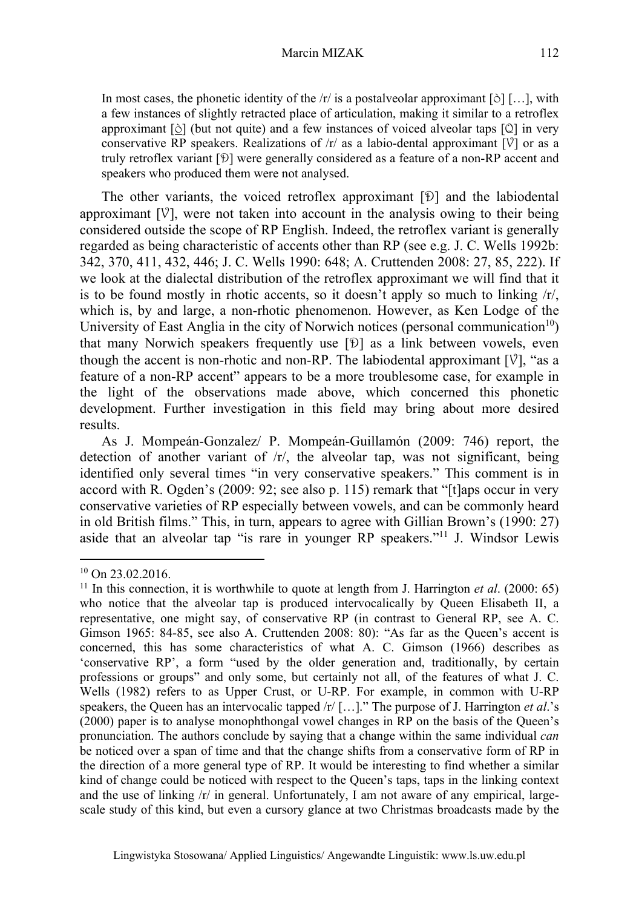In most cases, the phonetic identity of the  $/r/$  is a postalveolar approximant  $\lceil \circlearrowright \rceil$ ..., with a few instances of slightly retracted place of articulation, making it similar to a retroflex approximant [ò] (but not quite) and a few instances of voiced alveolar taps [Q] in very conservative RP speakers. Realizations of  $/r/$  as a labio-dental approximant  $[\sqrt{v}]$  or as a truly retroflex variant [Ð] were generally considered as a feature of a non-RP accent and speakers who produced them were not analysed.

The other variants, the voiced retroflex approximant [Ð] and the labiodental approximant  $[\nabla]$ , were not taken into account in the analysis owing to their being considered outside the scope of RP English. Indeed, the retroflex variant is generally regarded as being characteristic of accents other than RP (see e.g. J. C. Wells 1992b: 342, 370, 411, 432, 446; J. C. Wells 1990: 648; A. Cruttenden 2008: 27, 85, 222). If we look at the dialectal distribution of the retroflex approximant we will find that it is to be found mostly in rhotic accents, so it doesn't apply so much to linking  $\langle r \rangle$ , which is, by and large, a non-rhotic phenomenon. However, as Ken Lodge of the University of East Anglia in the city of Norwich notices (personal communication<sup>10</sup>) that many Norwich speakers frequently use [Ð] as a link between vowels, even though the accent is non-rhotic and non-RP. The labiodental approximant  $[\mathcal{V}]$ , "as a feature of a non-RP accent" appears to be a more troublesome case, for example in the light of the observations made above, which concerned this phonetic development. Further investigation in this field may bring about more desired results.

As J. Mompeán-Gonzalez/ P. Mompeán-Guillamón (2009: 746) report, the detection of another variant of /r/, the alveolar tap, was not significant, being identified only several times "in very conservative speakers." This comment is in accord with R. Ogden's (2009: 92; see also p. 115) remark that "[t]aps occur in very conservative varieties of RP especially between vowels, and can be commonly heard in old British films." This, in turn, appears to agree with Gillian Brown's (1990: 27) aside that an alveolar tap "is rare in younger RP speakers."11 J. Windsor Lewis

<sup>&</sup>lt;sup>10</sup> On 23.02.2016.

<sup>11</sup> In this connection, it is worthwhile to quote at length from J. Harrington *et al*. (2000: 65) who notice that the alveolar tap is produced intervocalically by Queen Elisabeth II, a representative, one might say, of conservative RP (in contrast to General RP, see A. C. Gimson 1965: 84-85, see also A. Cruttenden 2008: 80): "As far as the Queen's accent is concerned, this has some characteristics of what A. C. Gimson (1966) describes as 'conservative RP', a form "used by the older generation and, traditionally, by certain professions or groups" and only some, but certainly not all, of the features of what J. C. Wells (1982) refers to as Upper Crust, or U-RP. For example, in common with U-RP speakers, the Queen has an intervocalic tapped /r/ […]." The purpose of J. Harrington *et al*.'s (2000) paper is to analyse monophthongal vowel changes in RP on the basis of the Queen's pronunciation. The authors conclude by saying that a change within the same individual *can* be noticed over a span of time and that the change shifts from a conservative form of RP in the direction of a more general type of RP. It would be interesting to find whether a similar kind of change could be noticed with respect to the Queen's taps, taps in the linking context and the use of linking /r/ in general. Unfortunately, I am not aware of any empirical, largescale study of this kind, but even a cursory glance at two Christmas broadcasts made by the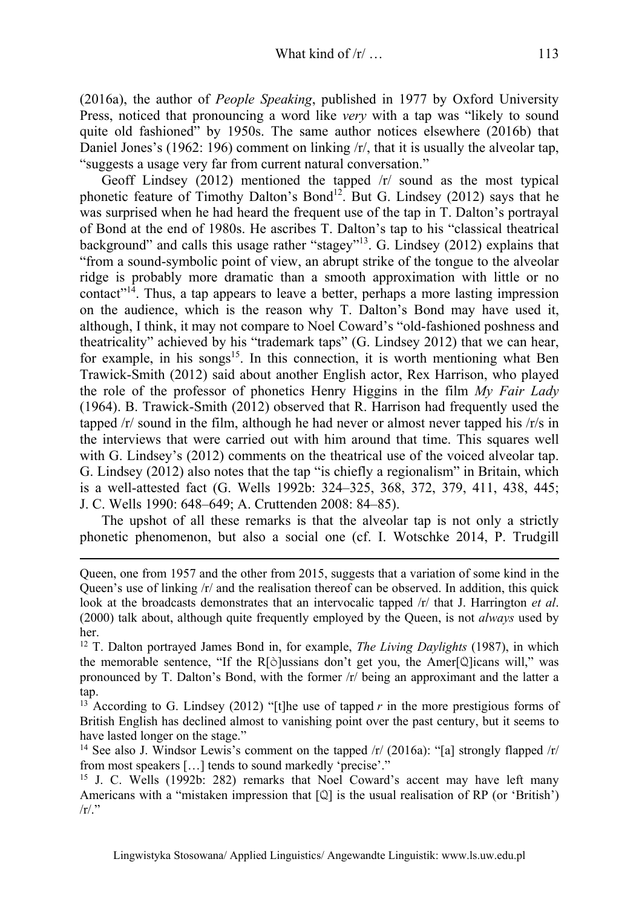(2016a), the author of *People Speaking*, published in 1977 by Oxford University Press, noticed that pronouncing a word like *very* with a tap was "likely to sound quite old fashioned" by 1950s. The same author notices elsewhere (2016b) that Daniel Jones's (1962: 196) comment on linking  $\pi/$ , that it is usually the alveolar tap, "suggests a usage very far from current natural conversation."

Geoff Lindsey (2012) mentioned the tapped  $\pi$  sound as the most typical phonetic feature of Timothy Dalton's Bond<sup>12</sup>. But G. Lindsey (2012) says that he was surprised when he had heard the frequent use of the tap in T. Dalton's portrayal of Bond at the end of 1980s. He ascribes T. Dalton's tap to his "classical theatrical background" and calls this usage rather "stagey"13. G. Lindsey (2012) explains that "from a sound-symbolic point of view, an abrupt strike of the tongue to the alveolar ridge is probably more dramatic than a smooth approximation with little or no contact<sup> $n\bar{4}$ </sup>. Thus, a tap appears to leave a better, perhaps a more lasting impression on the audience, which is the reason why T. Dalton's Bond may have used it, although, I think, it may not compare to Noel Coward's "old-fashioned poshness and theatricality" achieved by his "trademark taps" (G. Lindsey 2012) that we can hear, for example, in his songs<sup>15</sup>. In this connection, it is worth mentioning what Ben Trawick-Smith (2012) said about another English actor, Rex Harrison, who played the role of the professor of phonetics Henry Higgins in the film *My Fair Lady* (1964). B. Trawick-Smith (2012) observed that R. Harrison had frequently used the tapped  $\sqrt{r}$  sound in the film, although he had never or almost never tapped his  $\sqrt{r/s}$  in the interviews that were carried out with him around that time. This squares well with G. Lindsey's (2012) comments on the theatrical use of the voiced alveolar tap. G. Lindsey (2012) also notes that the tap "is chiefly a regionalism" in Britain, which is a well-attested fact (G. Wells 1992b: 324–325, 368, 372, 379, 411, 438, 445; J. C. Wells 1990: 648–649; A. Cruttenden 2008: 84–85).

The upshot of all these remarks is that the alveolar tap is not only a strictly phonetic phenomenon, but also a social one (cf. I. Wotschke 2014, P. Trudgill

Queen, one from 1957 and the other from 2015, suggests that a variation of some kind in the Queen's use of linking  $/r/$  and the realisation thereof can be observed. In addition, this quick look at the broadcasts demonstrates that an intervocalic tapped  $/r/$  that J. Harrington *et al.* (2000) talk about, although quite frequently employed by the Queen, is not *always* used by her.

<sup>12</sup> T. Dalton portrayed James Bond in, for example, *The Living Daylights* (1987), in which the memorable sentence, "If the R[ò]ussians don't get you, the Amer[Q]icans will," was pronounced by T. Dalton's Bond, with the former /r/ being an approximant and the latter a tap.

<sup>&</sup>lt;sup>13</sup> According to G. Lindsey (2012) "[t]he use of tapped  $r$  in the more prestigious forms of British English has declined almost to vanishing point over the past century, but it seems to have lasted longer on the stage."

<sup>&</sup>lt;sup>14</sup> See also J. Windsor Lewis's comment on the tapped  $/r/$  (2016a): "[a] strongly flapped  $/r/$ from most speakers [...] tends to sound markedly 'precise'."<br><sup>15</sup> J. C. Wells (1992b: 282) remarks that Noel Coward's accent may have left many

Americans with a "mistaken impression that  $[Q]$  is the usual realisation of RP (or 'British')  $/r/$ ."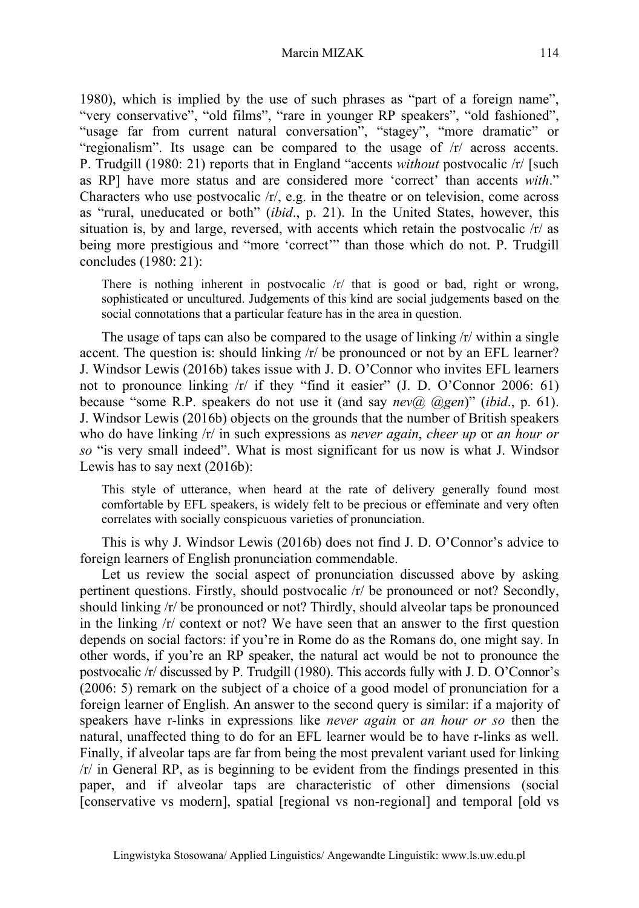#### Marcin MIZAK 114

1980), which is implied by the use of such phrases as "part of a foreign name", "very conservative", "old films", "rare in younger RP speakers", "old fashioned", "usage far from current natural conversation", "stagey", "more dramatic" or "regionalism". Its usage can be compared to the usage of  $/r/$  across accents. P. Trudgill (1980: 21) reports that in England "accents *without* postvocalic /r/ [such as RP] have more status and are considered more 'correct' than accents *with*." Characters who use postvocalic  $\langle r \rangle$ , e.g. in the theatre or on television, come across as "rural, uneducated or both" (*ibid*., p. 21). In the United States, however, this situation is, by and large, reversed, with accents which retain the postvocalic /r/ as being more prestigious and "more 'correct'" than those which do not. P. Trudgill concludes (1980: 21):

There is nothing inherent in postvocalic  $/r/$  that is good or bad, right or wrong, sophisticated or uncultured. Judgements of this kind are social judgements based on the social connotations that a particular feature has in the area in question.

The usage of taps can also be compared to the usage of linking /r/ within a single accent. The question is: should linking /r/ be pronounced or not by an EFL learner? J. Windsor Lewis (2016b) takes issue with J. D. O'Connor who invites EFL learners not to pronounce linking /r/ if they "find it easier" (J. D. O'Connor 2006: 61) because "some R.P. speakers do not use it (and say *nev@ @gen*)" (*ibid*., p. 61). J. Windsor Lewis (2016b) objects on the grounds that the number of British speakers who do have linking /r/ in such expressions as *never again*, *cheer up* or *an hour or so* "is very small indeed". What is most significant for us now is what J. Windsor Lewis has to say next (2016b):

This style of utterance, when heard at the rate of delivery generally found most comfortable by EFL speakers, is widely felt to be precious or effeminate and very often correlates with socially conspicuous varieties of pronunciation.

This is why J. Windsor Lewis (2016b) does not find J. D. O'Connor's advice to foreign learners of English pronunciation commendable.

Let us review the social aspect of pronunciation discussed above by asking pertinent questions. Firstly, should postvocalic /r/ be pronounced or not? Secondly, should linking /r/ be pronounced or not? Thirdly, should alveolar taps be pronounced in the linking /r/ context or not? We have seen that an answer to the first question depends on social factors: if you're in Rome do as the Romans do, one might say. In other words, if you're an RP speaker, the natural act would be not to pronounce the postvocalic /r/ discussed by P. Trudgill (1980). This accords fully with J. D. O'Connor's (2006: 5) remark on the subject of a choice of a good model of pronunciation for a foreign learner of English. An answer to the second query is similar: if a majority of speakers have r-links in expressions like *never again* or *an hour or so* then the natural, unaffected thing to do for an EFL learner would be to have r-links as well. Finally, if alveolar taps are far from being the most prevalent variant used for linking /r/ in General RP, as is beginning to be evident from the findings presented in this paper, and if alveolar taps are characteristic of other dimensions (social [conservative vs modern], spatial [regional vs non-regional] and temporal [old vs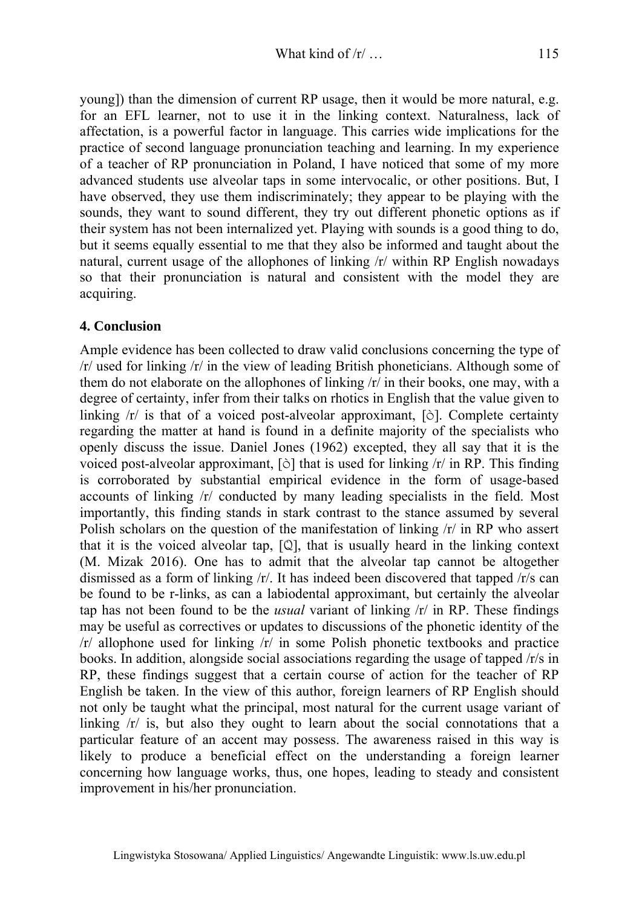young]) than the dimension of current RP usage, then it would be more natural, e.g. for an EFL learner, not to use it in the linking context. Naturalness, lack of affectation, is a powerful factor in language. This carries wide implications for the practice of second language pronunciation teaching and learning. In my experience of a teacher of RP pronunciation in Poland, I have noticed that some of my more advanced students use alveolar taps in some intervocalic, or other positions. But, I have observed, they use them indiscriminately; they appear to be playing with the sounds, they want to sound different, they try out different phonetic options as if their system has not been internalized yet. Playing with sounds is a good thing to do, but it seems equally essential to me that they also be informed and taught about the natural, current usage of the allophones of linking /r/ within RP English nowadays so that their pronunciation is natural and consistent with the model they are acquiring.

### **4. Conclusion**

Ample evidence has been collected to draw valid conclusions concerning the type of /r/ used for linking /r/ in the view of leading British phoneticians. Although some of them do not elaborate on the allophones of linking /r/ in their books, one may, with a degree of certainty, infer from their talks on rhotics in English that the value given to linking  $\pi$  is that of a voiced post-alveolar approximant, [ $\delta$ ]. Complete certainty regarding the matter at hand is found in a definite majority of the specialists who openly discuss the issue. Daniel Jones (1962) excepted, they all say that it is the voiced post-alveolar approximant,  $[\hat{\circ}]$  that is used for linking  $\pi/$  in RP. This finding is corroborated by substantial empirical evidence in the form of usage-based accounts of linking /r/ conducted by many leading specialists in the field. Most importantly, this finding stands in stark contrast to the stance assumed by several Polish scholars on the question of the manifestation of linking /r/ in RP who assert that it is the voiced alveolar tap,  $[Q]$ , that is usually heard in the linking context (M. Mizak 2016). One has to admit that the alveolar tap cannot be altogether dismissed as a form of linking /r/. It has indeed been discovered that tapped /r/s can be found to be r-links, as can a labiodental approximant, but certainly the alveolar tap has not been found to be the *usual* variant of linking /r/ in RP. These findings may be useful as correctives or updates to discussions of the phonetic identity of the /r/ allophone used for linking /r/ in some Polish phonetic textbooks and practice books. In addition, alongside social associations regarding the usage of tapped  $\frac{r}{s}$  in RP, these findings suggest that a certain course of action for the teacher of RP English be taken. In the view of this author, foreign learners of RP English should not only be taught what the principal, most natural for the current usage variant of linking  $/r/$  is, but also they ought to learn about the social connotations that a particular feature of an accent may possess. The awareness raised in this way is likely to produce a beneficial effect on the understanding a foreign learner concerning how language works, thus, one hopes, leading to steady and consistent improvement in his/her pronunciation.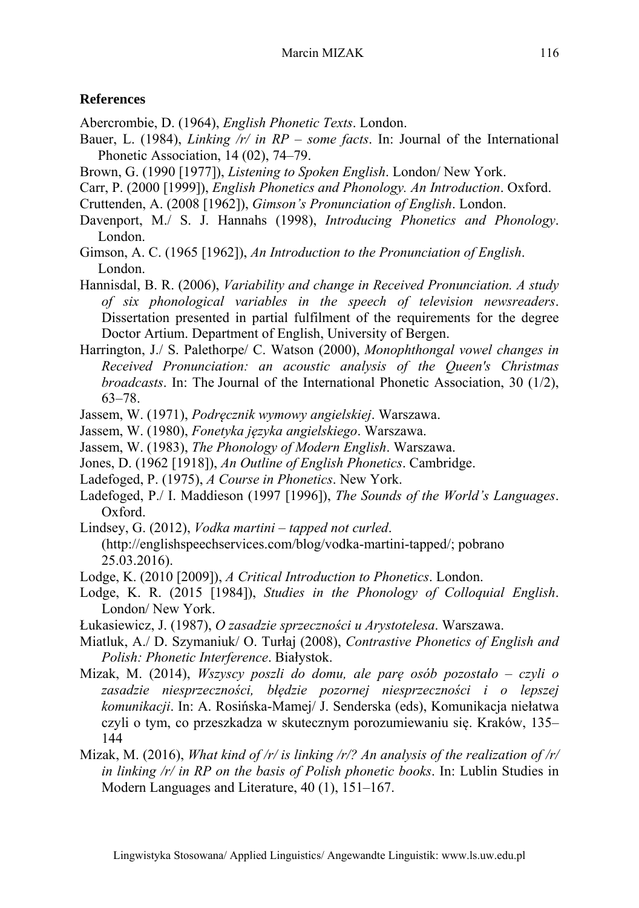#### **References**

Abercrombie, D. (1964), *English Phonetic Texts*. London.

- Bauer, L. (1984), *Linking /r/ in RP some facts*. In: Journal of the International Phonetic Association, 14 (02), 74–79.
- Brown, G. (1990 [1977]), *Listening to Spoken English*. London/ New York.
- Carr, P. (2000 [1999]), *English Phonetics and Phonology. An Introduction*. Oxford.
- Cruttenden, A. (2008 [1962]), *Gimson's Pronunciation of English*. London.
- Davenport, M./ S. J. Hannahs (1998), *Introducing Phonetics and Phonology*. London.
- Gimson, A. C. (1965 [1962]), *An Introduction to the Pronunciation of English*. London.
- Hannisdal, B. R. (2006), *Variability and change in Received Pronunciation. A study of six phonological variables in the speech of television newsreaders*. Dissertation presented in partial fulfilment of the requirements for the degree Doctor Artium. Department of English, University of Bergen.
- Harrington, J./ S. Palethorpe/ C. Watson (2000), *Monophthongal vowel changes in Received Pronunciation: an acoustic analysis of the Queen's Christmas broadcasts*. In: The Journal of the International Phonetic Association, 30 (1/2), 63–78.
- Jassem, W. (1971), *Podręcznik wymowy angielskiej*. Warszawa.
- Jassem, W. (1980), *Fonetyka języka angielskiego*. Warszawa.
- Jassem, W. (1983), *The Phonology of Modern English*. Warszawa.
- Jones, D. (1962 [1918]), *An Outline of English Phonetics*. Cambridge.
- Ladefoged, P. (1975), *A Course in Phonetics*. New York.
- Ladefoged, P./ I. Maddieson (1997 [1996]), *The Sounds of the World's Languages*. Oxford.
- Lindsey, G. (2012), *Vodka martini tapped not curled*. (http://englishspeechservices.com/blog/vodka-martini-tapped/; pobrano 25.03.2016).
- Lodge, K. (2010 [2009]), *A Critical Introduction to Phonetics*. London.
- Lodge, K. R. (2015 [1984]), *Studies in the Phonology of Colloquial English*. London/ New York.
- Łukasiewicz, J. (1987), *O zasadzie sprzeczności u Arystotelesa*. Warszawa.
- Miatluk, A./ D. Szymaniuk/ O. Turłaj (2008), *Contrastive Phonetics of English and Polish: Phonetic Interference*. Białystok.
- Mizak, M. (2014), *Wszyscy poszli do domu, ale parę osób pozostało czyli o zasadzie niesprzeczności, błędzie pozornej niesprzeczności i o lepszej komunikacji*. In: A. Rosińska-Mamej/ J. Senderska (eds), Komunikacja niełatwa czyli o tym, co przeszkadza w skutecznym porozumiewaniu się. Kraków, 135– 144
- Mizak, M. (2016), *What kind of /r/ is linking /r/? An analysis of the realization of /r/ in linking /r/ in RP on the basis of Polish phonetic books*. In: Lublin Studies in Modern Languages and Literature, 40 (1), 151–167.